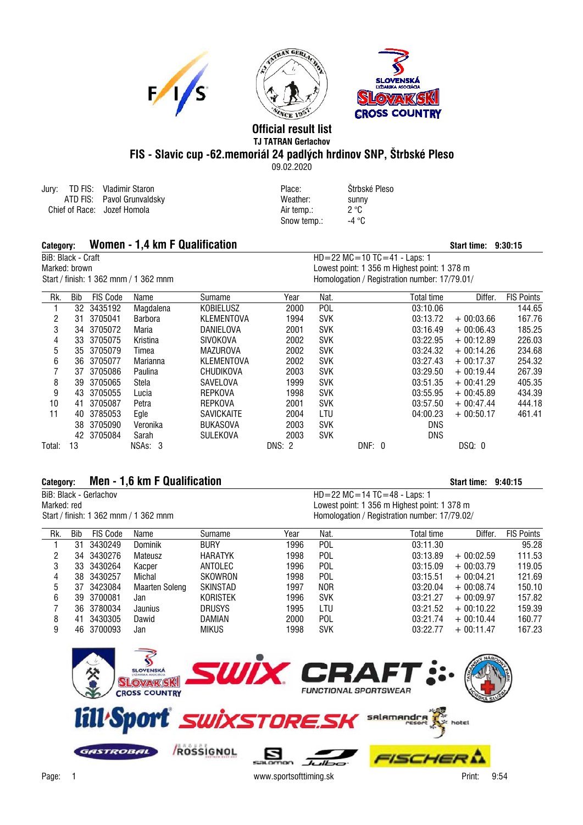





## **Official result list TJ TATRAN Gerlachov FIS - Slavic cup -62.memoriál 24 padlých hrdinov SNP, Štrbské Pleso**

09.02.2020

|  | Jury: TD FIS: Vladimir Staron | Place:     | Strbské Pleso |
|--|-------------------------------|------------|---------------|
|  | ATD FIS: Pavol Grunvaldsky    | Weather:   | sunny         |
|  | Chief of Race: Jozef Homola   | Air temp.: | 2 °C          |
|  |                               |            |               |

| Place:      | <b>Strbs</b> |
|-------------|--------------|
| Weather:    | sunn         |
| Air temp.:  | 2 °C         |
| Snow temp.: | -4 °C        |
|             |              |

## Category: **Women - 1,4 km F Qualification**<br>BiB: Black - Craft **Start time: 9:30:15**<br>BiB: Black - Craft **Start time: 9:30:15**

## $HD = 22 MC = 10 TC = 41 - Laps: 1$ Marked: brown Marked: brown Common University of the University of the University of the University of the State of the State of the State of the State of the State of the State of the State of the Homologation of Hegistra Homologation / Registration number: 17/79.01/

| Rk.    | Bib | <b>FIS Code</b> | Name           | Surname           | Year          | Nat.       |        | <b>Total time</b> | Differ.     | <b>FIS Points</b> |
|--------|-----|-----------------|----------------|-------------------|---------------|------------|--------|-------------------|-------------|-------------------|
|        | 32  | 3435192         | Magdalena      | <b>KOBIELUSZ</b>  | 2000          | <b>POL</b> |        | 03:10.06          |             | 144.65            |
| 2      | 31  | 3705041         | <b>Barbora</b> | KLEMENTOVA        | 1994          | <b>SVK</b> |        | 03:13.72          | $+00:03.66$ | 167.76            |
| 3      | 34  | 3705072         | Maria          | DANIELOVA         | 2001          | <b>SVK</b> |        | 03:16.49          | $+00:06.43$ | 185.25            |
| 4      | 33  | 3705075         | Kristina       | <b>SIVOKOVA</b>   | 2002          | <b>SVK</b> |        | 03:22.95          | $+00:12.89$ | 226.03            |
| 5      | 35  | 3705079         | Timea          | <b>MAZUROVA</b>   | 2002          | <b>SVK</b> |        | 03:24.32          | $+00:14.26$ | 234.68            |
| 6      | 36  | 3705077         | Marianna       | KLEMENTOVA        | 2002          | <b>SVK</b> |        | 03:27.43          | $+00:17.37$ | 254.32            |
|        | 37  | 3705086         | Paulina        | CHUDIKOVA         | 2003          | <b>SVK</b> |        | 03:29.50          | $+00:19.44$ | 267.39            |
| 8      | 39  | 3705065         | Stela          | SAVELOVA          | 1999          | <b>SVK</b> |        | 03:51.35          | $+00:41.29$ | 405.35            |
| 9      | 43  | 3705055         | Lucia          | <b>REPKOVA</b>    | 1998          | <b>SVK</b> |        | 03:55.95          | $+00:45.89$ | 434.39            |
| 10     | 41  | 3705087         | Petra          | <b>REPKOVA</b>    | 2001          | <b>SVK</b> |        | 03:57.50          | $+00:47.44$ | 444.18            |
| 11     | 40  | 3785053         | Egle           | <b>SAVICKAITE</b> | 2004          | LTU        |        | 04:00.23          | $+00:50.17$ | 461.41            |
|        | 38  | 3705090         | Veronika       | <b>BUKASOVA</b>   | 2003          | <b>SVK</b> |        | <b>DNS</b>        |             |                   |
|        |     | 42 3705084      | Sarah          | <b>SULEKOVA</b>   | 2003          | <b>SVK</b> |        | <b>DNS</b>        |             |                   |
| Total: | 13  |                 | NSAs: 3        |                   | <b>DNS: 2</b> |            | DNF: 0 |                   | DSQ: 0      |                   |

## Category: **Men - 1.6 km F Qualification Start time: 9:40:15** Start time: 9:40:15

|                                       | BiB: Black - Gerlachov |          |      |         |                                               |                                              | $HD = 22 MC = 14 TC = 48 - Laps: 1$ |         |                      |  |  |  |
|---------------------------------------|------------------------|----------|------|---------|-----------------------------------------------|----------------------------------------------|-------------------------------------|---------|----------------------|--|--|--|
| Marked: red                           |                        |          |      |         |                                               | Lowest point: 1 356 m Highest point: 1 378 m |                                     |         |                      |  |  |  |
| Start / finish: 1 362 mnm / 1 362 mnm |                        |          |      |         | Homologation / Registration number: 17/79.02/ |                                              |                                     |         |                      |  |  |  |
|                                       |                        |          |      |         |                                               |                                              |                                     |         |                      |  |  |  |
| Rk.                                   | Bib                    | FIS Code | Name | Surname | Year                                          | Nat.                                         | Total time                          | Differ. | <b>FIS Points</b>    |  |  |  |
|                                       |                        |          |      | $\sim$  | 1000                                          | $\sim$                                       | 0.01100                             |         | $\sim$ $\sim$ $\sim$ |  |  |  |

|   | 31 | 3430249    | Dominik        | <b>BURY</b>     | 1996 | POL        | 03:11.30 |             | 95.28  |
|---|----|------------|----------------|-----------------|------|------------|----------|-------------|--------|
|   | 34 | 3430276    | Mateusz        | <b>HARATYK</b>  | 1998 | <b>POL</b> | 03:13.89 | $+00:02.59$ | 111.53 |
|   |    | 33 3430264 | Kacper         | ANTOLEC         | 1996 | <b>POL</b> | 03:15.09 | $+00:03.79$ | 119.05 |
| 4 |    | 38 3430257 | Michal         | SKOWRON         | 1998 | POL        | 03:15.51 | $+00:04.21$ | 121.69 |
| 5 |    | 37 3423084 | Maarten Soleng | SKINSTAD        | 1997 | <b>NOR</b> | 03:20.04 | $+00:08.74$ | 150.10 |
| 6 |    | 39 3700081 | Jan            | <b>KORISTEK</b> | 1996 | <b>SVK</b> | 03:21.27 | $+00:09.97$ | 157.82 |
|   |    | 36 3780034 | Jaunius        | <b>DRUSYS</b>   | 1995 | LTU        | 03:21.52 | $+00:10.22$ | 159.39 |
|   | 41 | 3430305    | Dawid          | DAMIAN          | 2000 | POL        | 03:21.74 | $+00:10.44$ | 160.77 |
|   |    | 46 3700093 | Jan            | <b>MIKUS</b>    | 1998 | <b>SVK</b> | 03:22.77 | $+00:11.47$ | 167.23 |
|   |    |            |                |                 |      |            |          |             |        |